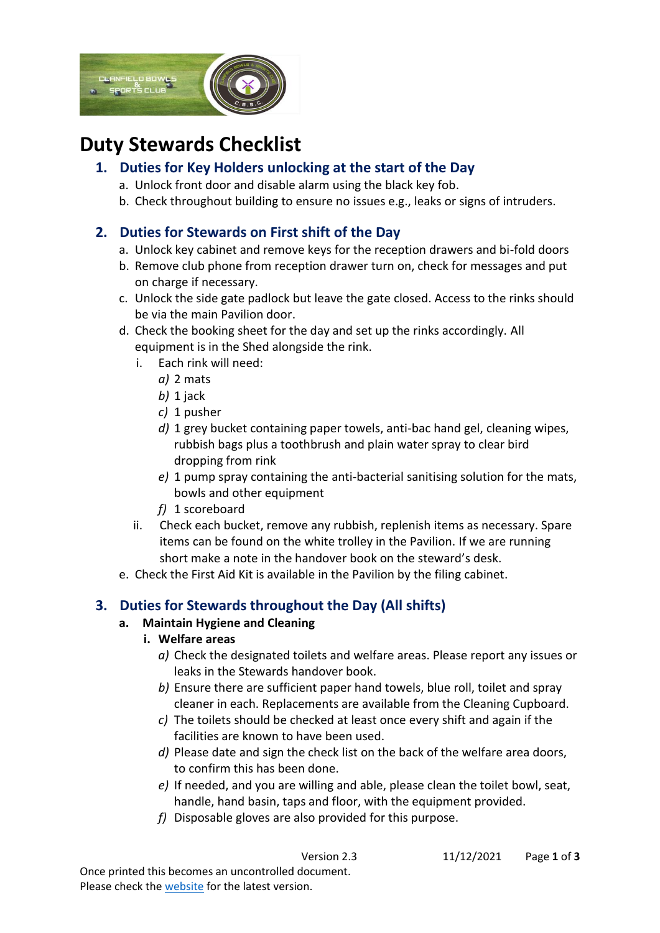

# **Duty Stewards Checklist**

## **1. Duties for Key Holders unlocking at the start of the Day**

- a. Unlock front door and disable alarm using the black key fob.
- b. Check throughout building to ensure no issues e.g., leaks or signs of intruders.

## **2. Duties for Stewards on First shift of the Day**

- a. Unlock key cabinet and remove keys for the reception drawers and bi-fold doors
- b. Remove club phone from reception drawer turn on, check for messages and put on charge if necessary.
- c. Unlock the side gate padlock but leave the gate closed. Access to the rinks should be via the main Pavilion door.
- d. Check the booking sheet for the day and set up the rinks accordingly. All equipment is in the Shed alongside the rink.
	- i. Each rink will need:
		- *a)* 2 mats
		- *b)* 1 jack
		- *c)* 1 pusher
		- *d)* 1 grey bucket containing paper towels, anti-bac hand gel, cleaning wipes, rubbish bags plus a toothbrush and plain water spray to clear bird dropping from rink
		- *e)* 1 pump spray containing the anti-bacterial sanitising solution for the mats, bowls and other equipment
		- *f)* 1 scoreboard
	- ii. Check each bucket, remove any rubbish, replenish items as necessary. Spare items can be found on the white trolley in the Pavilion. If we are running short make a note in the handover book on the steward's desk.
- e. Check the First Aid Kit is available in the Pavilion by the filing cabinet.

# **3. Duties for Stewards throughout the Day (All shifts)**

## **a. Maintain Hygiene and Cleaning**

#### **i. Welfare areas**

- *a)* Check the designated toilets and welfare areas. Please report any issues or leaks in the Stewards handover book.
- *b)* Ensure there are sufficient paper hand towels, blue roll, toilet and spray cleaner in each. Replacements are available from the Cleaning Cupboard.
- *c)* The toilets should be checked at least once every shift and again if the facilities are known to have been used.
- *d)* Please date and sign the check list on the back of the welfare area doors, to confirm this has been done.
- *e)* If needed, and you are willing and able, please clean the toilet bowl, seat, handle, hand basin, taps and floor, with the equipment provided.
- *f)* Disposable gloves are also provided for this purpose.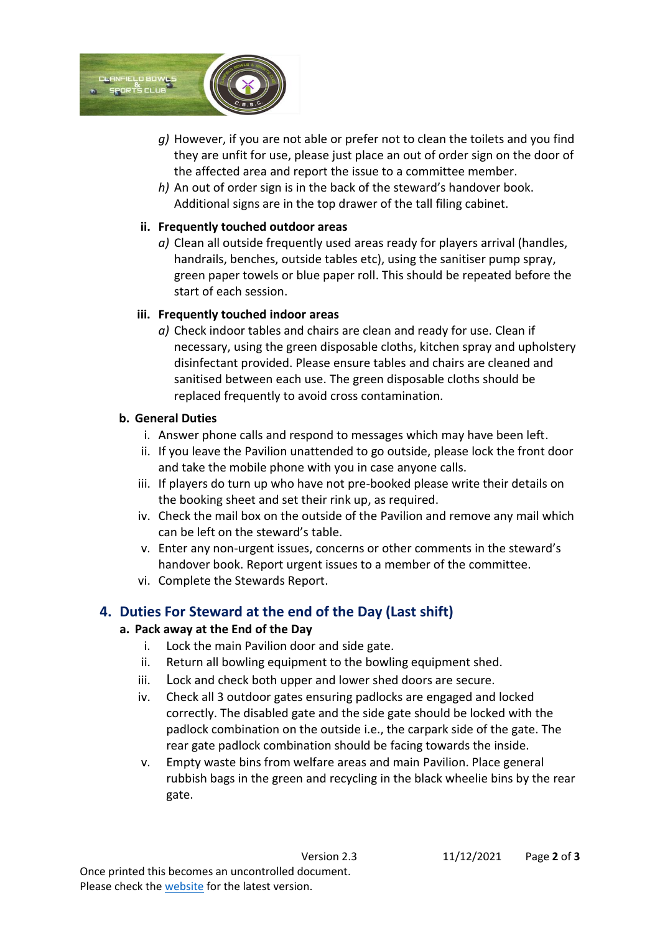

- *g)* However, if you are not able or prefer not to clean the toilets and you find they are unfit for use, please just place an out of order sign on the door of the affected area and report the issue to a committee member.
- *h)* An out of order sign is in the back of the steward's handover book. Additional signs are in the top drawer of the tall filing cabinet.

#### **ii. Frequently touched outdoor areas**

*a)* Clean all outside frequently used areas ready for players arrival (handles, handrails, benches, outside tables etc), using the sanitiser pump spray, green paper towels or blue paper roll. This should be repeated before the start of each session.

#### **iii. Frequently touched indoor areas**

*a)* Check indoor tables and chairs are clean and ready for use. Clean if necessary, using the green disposable cloths, kitchen spray and upholstery disinfectant provided. Please ensure tables and chairs are cleaned and sanitised between each use. The green disposable cloths should be replaced frequently to avoid cross contamination.

#### **b. General Duties**

- i. Answer phone calls and respond to messages which may have been left.
- ii. If you leave the Pavilion unattended to go outside, please lock the front door and take the mobile phone with you in case anyone calls.
- iii. If players do turn up who have not pre-booked please write their details on the booking sheet and set their rink up, as required.
- iv. Check the mail box on the outside of the Pavilion and remove any mail which can be left on the steward's table.
- v. Enter any non-urgent issues, concerns or other comments in the steward's handover book. Report urgent issues to a member of the committee.
- vi. Complete the Stewards Report.

# **4. Duties For Steward at the end of the Day (Last shift)**

## **a. Pack away at the End of the Day**

- i. Lock the main Pavilion door and side gate.
- ii. Return all bowling equipment to the bowling equipment shed.
- iii. Lock and check both upper and lower shed doors are secure.
- iv. Check all 3 outdoor gates ensuring padlocks are engaged and locked correctly. The disabled gate and the side gate should be locked with the padlock combination on the outside i.e., the carpark side of the gate. The rear gate padlock combination should be facing towards the inside.
- v. Empty waste bins from welfare areas and main Pavilion. Place general rubbish bags in the green and recycling in the black wheelie bins by the rear gate.